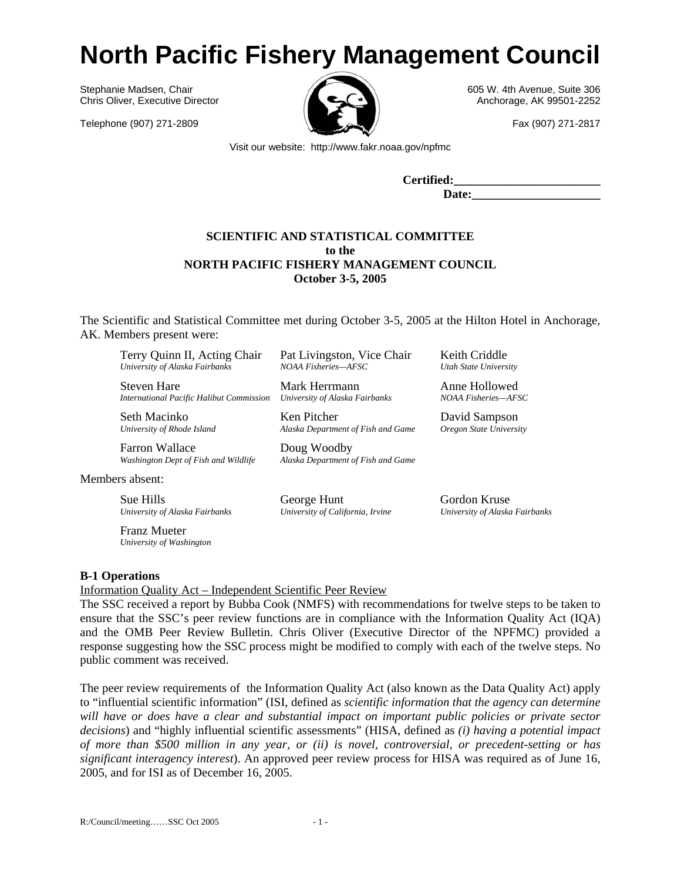# **North Pacific Fishery Management Council**

Stephanie Madsen, Chair **605 W. 4th Avenue, Suite 306** Chris Oliver, Executive Director Anchorage, AK 99501-2252

Telephone (907) 271-2809 Fax (907) 271-2817



Visit our website: http://www.fakr.noaa.gov/npfmc

**Certified:\_\_\_\_\_\_\_\_\_\_\_\_\_\_\_\_\_\_\_\_\_\_\_\_**  Date:

# **SCIENTIFIC AND STATISTICAL COMMITTEE to the NORTH PACIFIC FISHERY MANAGEMENT COUNCIL October 3-5, 2005**

The Scientific and Statistical Committee met during October 3-5, 2005 at the Hilton Hotel in Anchorage, AK. Members present were:

Terry Quinn II, Acting Chair *University of Alaska Fairbanks*

Steven Hare *International Pacific Halibut Commission*

Seth Macinko *University of Rhode Island*

Farron Wallace *Washington Dept of Fish and Wildlife*

Members absent:

Sue Hills *University of Alaska Fairbanks*

Franz Mueter *University of Washington*

**B-1 Operations** 

Information Quality Act – Independent Scientific Peer Review

The SSC received a report by Bubba Cook (NMFS) with recommendations for twelve steps to be taken to ensure that the SSC's peer review functions are in compliance with the Information Quality Act (IQA) and the OMB Peer Review Bulletin. Chris Oliver (Executive Director of the NPFMC) provided a response suggesting how the SSC process might be modified to comply with each of the twelve steps. No public comment was received.

The peer review requirements of the Information Quality Act (also known as the Data Quality Act) apply to "influential scientific information" (ISI, defined as *scientific information that the agency can determine will have or does have a clear and substantial impact on important public policies or private sector decisions*) and "highly influential scientific assessments" (HISA, defined as *(i) having a potential impact of more than \$500 million in any year, or (ii) is novel, controversial, or precedent-setting or has significant interagency interest*). An approved peer review process for HISA was required as of June 16, 2005, and for ISI as of December 16, 2005.

Pat Livingston, Vice Chair *NOAA Fisheries—AFSC*

Mark Herrmann *University of Alaska Fairbanks*

Ken Pitcher *Alaska Department of Fish and Game*

Doug Woodby *Alaska Department of Fish and Game*

George Hunt *University of California, Irvine* *Oregon State University*

Keith Criddle *Utah State University*

Anne Hollowed *NOAA Fisheries—AFSC*

David Sampson

Gordon Kruse *University of Alaska Fairbanks*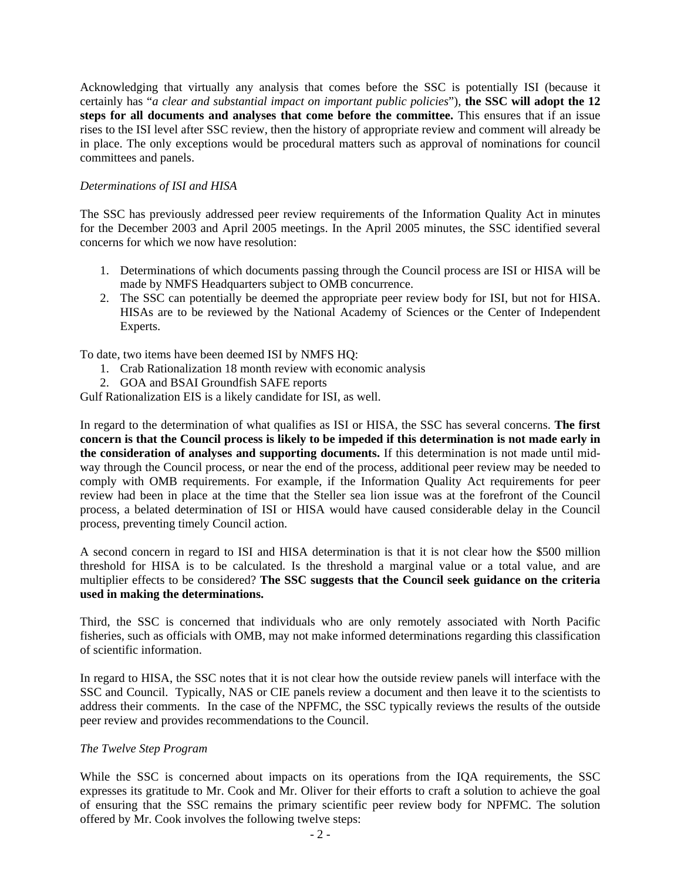Acknowledging that virtually any analysis that comes before the SSC is potentially ISI (because it certainly has "*a clear and substantial impact on important public policies*"), **the SSC will adopt the 12 steps for all documents and analyses that come before the committee.** This ensures that if an issue rises to the ISI level after SSC review, then the history of appropriate review and comment will already be in place. The only exceptions would be procedural matters such as approval of nominations for council committees and panels.

# *Determinations of ISI and HISA*

The SSC has previously addressed peer review requirements of the Information Quality Act in minutes for the December 2003 and April 2005 meetings. In the April 2005 minutes, the SSC identified several concerns for which we now have resolution:

- 1. Determinations of which documents passing through the Council process are ISI or HISA will be made by NMFS Headquarters subject to OMB concurrence.
- 2. The SSC can potentially be deemed the appropriate peer review body for ISI, but not for HISA. HISAs are to be reviewed by the National Academy of Sciences or the Center of Independent Experts.

To date, two items have been deemed ISI by NMFS HQ:

- 1. Crab Rationalization 18 month review with economic analysis
- 2. GOA and BSAI Groundfish SAFE reports

Gulf Rationalization EIS is a likely candidate for ISI, as well.

In regard to the determination of what qualifies as ISI or HISA, the SSC has several concerns. **The first concern is that the Council process is likely to be impeded if this determination is not made early in the consideration of analyses and supporting documents.** If this determination is not made until midway through the Council process, or near the end of the process, additional peer review may be needed to comply with OMB requirements. For example, if the Information Quality Act requirements for peer review had been in place at the time that the Steller sea lion issue was at the forefront of the Council process, a belated determination of ISI or HISA would have caused considerable delay in the Council process, preventing timely Council action.

A second concern in regard to ISI and HISA determination is that it is not clear how the \$500 million threshold for HISA is to be calculated. Is the threshold a marginal value or a total value, and are multiplier effects to be considered? **The SSC suggests that the Council seek guidance on the criteria used in making the determinations.**

Third, the SSC is concerned that individuals who are only remotely associated with North Pacific fisheries, such as officials with OMB, may not make informed determinations regarding this classification of scientific information.

In regard to HISA, the SSC notes that it is not clear how the outside review panels will interface with the SSC and Council. Typically, NAS or CIE panels review a document and then leave it to the scientists to address their comments. In the case of the NPFMC, the SSC typically reviews the results of the outside peer review and provides recommendations to the Council.

## *The Twelve Step Program*

While the SSC is concerned about impacts on its operations from the IQA requirements, the SSC expresses its gratitude to Mr. Cook and Mr. Oliver for their efforts to craft a solution to achieve the goal of ensuring that the SSC remains the primary scientific peer review body for NPFMC. The solution offered by Mr. Cook involves the following twelve steps: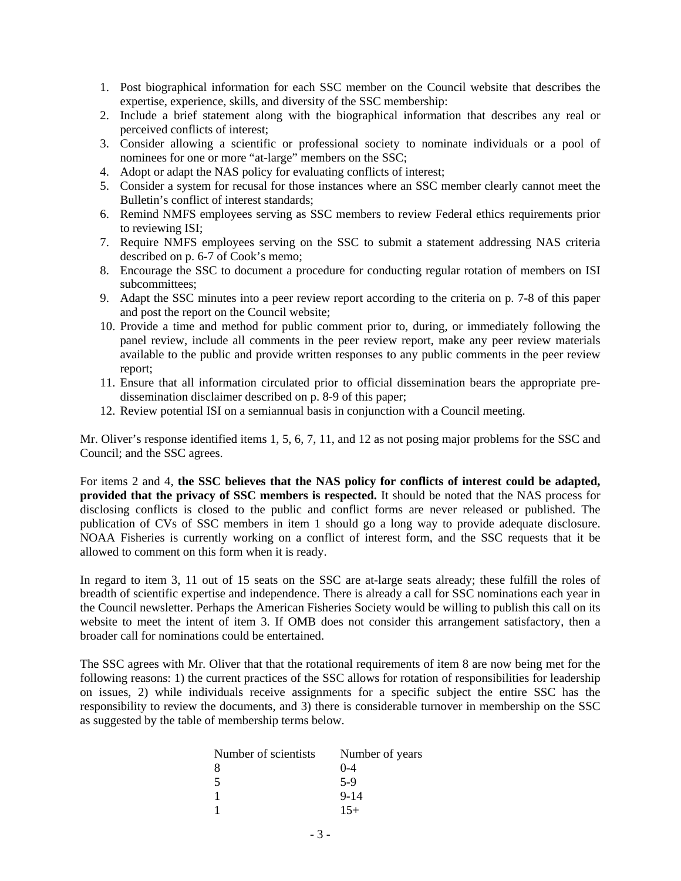- 1. Post biographical information for each SSC member on the Council website that describes the expertise, experience, skills, and diversity of the SSC membership:
- 2. Include a brief statement along with the biographical information that describes any real or perceived conflicts of interest;
- 3. Consider allowing a scientific or professional society to nominate individuals or a pool of nominees for one or more "at-large" members on the SSC;
- 4. Adopt or adapt the NAS policy for evaluating conflicts of interest;
- 5. Consider a system for recusal for those instances where an SSC member clearly cannot meet the Bulletin's conflict of interest standards;
- 6. Remind NMFS employees serving as SSC members to review Federal ethics requirements prior to reviewing ISI;
- 7. Require NMFS employees serving on the SSC to submit a statement addressing NAS criteria described on p. 6-7 of Cook's memo;
- 8. Encourage the SSC to document a procedure for conducting regular rotation of members on ISI subcommittees;
- 9. Adapt the SSC minutes into a peer review report according to the criteria on p. 7-8 of this paper and post the report on the Council website;
- 10. Provide a time and method for public comment prior to, during, or immediately following the panel review, include all comments in the peer review report, make any peer review materials available to the public and provide written responses to any public comments in the peer review report;
- 11. Ensure that all information circulated prior to official dissemination bears the appropriate predissemination disclaimer described on p. 8-9 of this paper;
- 12. Review potential ISI on a semiannual basis in conjunction with a Council meeting.

Mr. Oliver's response identified items 1, 5, 6, 7, 11, and 12 as not posing major problems for the SSC and Council; and the SSC agrees.

For items 2 and 4, **the SSC believes that the NAS policy for conflicts of interest could be adapted, provided that the privacy of SSC members is respected.** It should be noted that the NAS process for disclosing conflicts is closed to the public and conflict forms are never released or published. The publication of CVs of SSC members in item 1 should go a long way to provide adequate disclosure. NOAA Fisheries is currently working on a conflict of interest form, and the SSC requests that it be allowed to comment on this form when it is ready.

In regard to item 3, 11 out of 15 seats on the SSC are at-large seats already; these fulfill the roles of breadth of scientific expertise and independence. There is already a call for SSC nominations each year in the Council newsletter. Perhaps the American Fisheries Society would be willing to publish this call on its website to meet the intent of item 3. If OMB does not consider this arrangement satisfactory, then a broader call for nominations could be entertained.

The SSC agrees with Mr. Oliver that that the rotational requirements of item 8 are now being met for the following reasons: 1) the current practices of the SSC allows for rotation of responsibilities for leadership on issues, 2) while individuals receive assignments for a specific subject the entire SSC has the responsibility to review the documents, and 3) there is considerable turnover in membership on the SSC as suggested by the table of membership terms below.

| Number of scientists | Number of years |
|----------------------|-----------------|
| 8                    | $0 - 4$         |
| -5                   | $5-9$           |
|                      | $9 - 14$        |
|                      | $15+$           |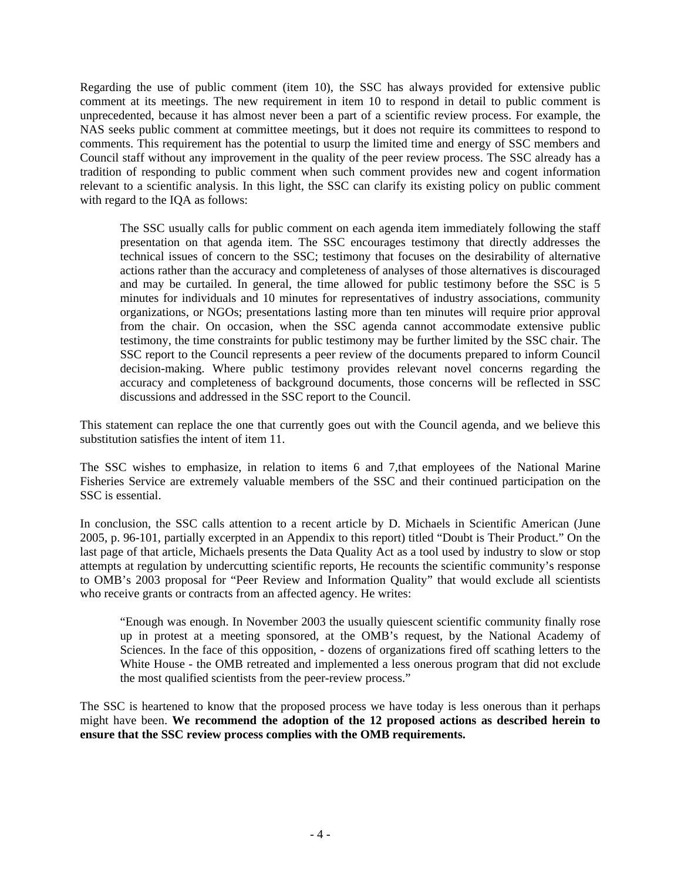Regarding the use of public comment (item 10), the SSC has always provided for extensive public comment at its meetings. The new requirement in item 10 to respond in detail to public comment is unprecedented, because it has almost never been a part of a scientific review process. For example, the NAS seeks public comment at committee meetings, but it does not require its committees to respond to comments. This requirement has the potential to usurp the limited time and energy of SSC members and Council staff without any improvement in the quality of the peer review process. The SSC already has a tradition of responding to public comment when such comment provides new and cogent information relevant to a scientific analysis. In this light, the SSC can clarify its existing policy on public comment with regard to the IQA as follows:

The SSC usually calls for public comment on each agenda item immediately following the staff presentation on that agenda item. The SSC encourages testimony that directly addresses the technical issues of concern to the SSC; testimony that focuses on the desirability of alternative actions rather than the accuracy and completeness of analyses of those alternatives is discouraged and may be curtailed. In general, the time allowed for public testimony before the SSC is 5 minutes for individuals and 10 minutes for representatives of industry associations, community organizations, or NGOs; presentations lasting more than ten minutes will require prior approval from the chair. On occasion, when the SSC agenda cannot accommodate extensive public testimony, the time constraints for public testimony may be further limited by the SSC chair. The SSC report to the Council represents a peer review of the documents prepared to inform Council decision-making. Where public testimony provides relevant novel concerns regarding the accuracy and completeness of background documents, those concerns will be reflected in SSC discussions and addressed in the SSC report to the Council.

This statement can replace the one that currently goes out with the Council agenda, and we believe this substitution satisfies the intent of item 11.

The SSC wishes to emphasize, in relation to items 6 and 7,that employees of the National Marine Fisheries Service are extremely valuable members of the SSC and their continued participation on the SSC is essential.

In conclusion, the SSC calls attention to a recent article by D. Michaels in Scientific American (June 2005, p. 96-101, partially excerpted in an Appendix to this report) titled "Doubt is Their Product." On the last page of that article, Michaels presents the Data Quality Act as a tool used by industry to slow or stop attempts at regulation by undercutting scientific reports, He recounts the scientific community's response to OMB's 2003 proposal for "Peer Review and Information Quality" that would exclude all scientists who receive grants or contracts from an affected agency. He writes:

"Enough was enough. In November 2003 the usually quiescent scientific community finally rose up in protest at a meeting sponsored, at the OMB's request, by the National Academy of Sciences. In the face of this opposition, - dozens of organizations fired off scathing letters to the White House - the OMB retreated and implemented a less onerous program that did not exclude the most qualified scientists from the peer-review process."

The SSC is heartened to know that the proposed process we have today is less onerous than it perhaps might have been. **We recommend the adoption of the 12 proposed actions as described herein to ensure that the SSC review process complies with the OMB requirements.**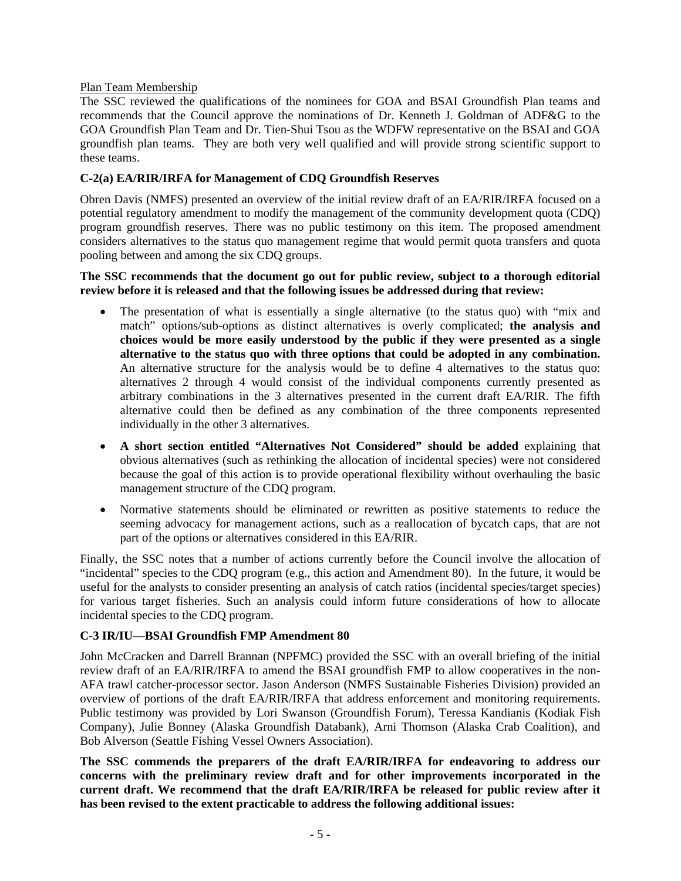# Plan Team Membership

The SSC reviewed the qualifications of the nominees for GOA and BSAI Groundfish Plan teams and recommends that the Council approve the nominations of Dr. Kenneth J. Goldman of ADF&G to the GOA Groundfish Plan Team and Dr. Tien-Shui Tsou as the WDFW representative on the BSAI and GOA groundfish plan teams. They are both very well qualified and will provide strong scientific support to these teams.

# **C-2(a) EA/RIR/IRFA for Management of CDQ Groundfish Reserves**

Obren Davis (NMFS) presented an overview of the initial review draft of an EA/RIR/IRFA focused on a potential regulatory amendment to modify the management of the community development quota (CDQ) program groundfish reserves. There was no public testimony on this item. The proposed amendment considers alternatives to the status quo management regime that would permit quota transfers and quota pooling between and among the six CDQ groups.

## **The SSC recommends that the document go out for public review, subject to a thorough editorial review before it is released and that the following issues be addressed during that review:**

- The presentation of what is essentially a single alternative (to the status quo) with "mix and match" options/sub-options as distinct alternatives is overly complicated; **the analysis and choices would be more easily understood by the public if they were presented as a single alternative to the status quo with three options that could be adopted in any combination.**  An alternative structure for the analysis would be to define 4 alternatives to the status quo: alternatives 2 through 4 would consist of the individual components currently presented as arbitrary combinations in the 3 alternatives presented in the current draft EA/RIR. The fifth alternative could then be defined as any combination of the three components represented individually in the other 3 alternatives.
- **A short section entitled "Alternatives Not Considered" should be added** explaining that obvious alternatives (such as rethinking the allocation of incidental species) were not considered because the goal of this action is to provide operational flexibility without overhauling the basic management structure of the CDQ program.
- Normative statements should be eliminated or rewritten as positive statements to reduce the seeming advocacy for management actions, such as a reallocation of bycatch caps, that are not part of the options or alternatives considered in this EA/RIR.

Finally, the SSC notes that a number of actions currently before the Council involve the allocation of "incidental" species to the CDQ program (e.g., this action and Amendment 80). In the future, it would be useful for the analysts to consider presenting an analysis of catch ratios (incidental species/target species) for various target fisheries. Such an analysis could inform future considerations of how to allocate incidental species to the CDQ program.

# **C-3 IR/IU—BSAI Groundfish FMP Amendment 80**

John McCracken and Darrell Brannan (NPFMC) provided the SSC with an overall briefing of the initial review draft of an EA/RIR/IRFA to amend the BSAI groundfish FMP to allow cooperatives in the non-AFA trawl catcher-processor sector. Jason Anderson (NMFS Sustainable Fisheries Division) provided an overview of portions of the draft EA/RIR/IRFA that address enforcement and monitoring requirements. Public testimony was provided by Lori Swanson (Groundfish Forum), Teressa Kandianis (Kodiak Fish Company), Julie Bonney (Alaska Groundfish Databank), Arni Thomson (Alaska Crab Coalition), and Bob Alverson (Seattle Fishing Vessel Owners Association).

**The SSC commends the preparers of the draft EA/RIR/IRFA for endeavoring to address our concerns with the preliminary review draft and for other improvements incorporated in the current draft. We recommend that the draft EA/RIR/IRFA be released for public review after it has been revised to the extent practicable to address the following additional issues:**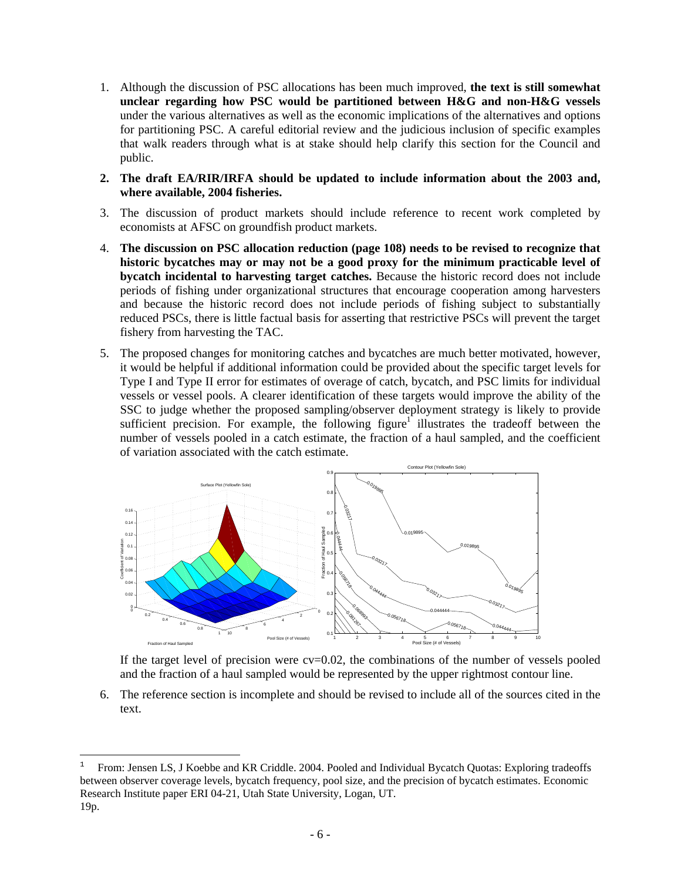- 1. Although the discussion of PSC allocations has been much improved, **the text is still somewhat unclear regarding how PSC would be partitioned between H&G and non-H&G vessels**  under the various alternatives as well as the economic implications of the alternatives and options for partitioning PSC. A careful editorial review and the judicious inclusion of specific examples that walk readers through what is at stake should help clarify this section for the Council and public.
- **2. The draft EA/RIR/IRFA should be updated to include information about the 2003 and, where available, 2004 fisheries.**
- 3. The discussion of product markets should include reference to recent work completed by economists at AFSC on groundfish product markets.
- 4. **The discussion on PSC allocation reduction (page 108) needs to be revised to recognize that historic bycatches may or may not be a good proxy for the minimum practicable level of bycatch incidental to harvesting target catches.** Because the historic record does not include periods of fishing under organizational structures that encourage cooperation among harvesters and because the historic record does not include periods of fishing subject to substantially reduced PSCs, there is little factual basis for asserting that restrictive PSCs will prevent the target fishery from harvesting the TAC.
- 5. The proposed changes for monitoring catches and bycatches are much better motivated, however, it would be helpful if additional information could be provided about the specific target levels for Type I and Type II error for estimates of overage of catch, bycatch, and PSC limits for individual vessels or vessel pools. A clearer identification of these targets would improve the ability of the SSC to judge whether the proposed sampling/observer deployment strategy is likely to provide sufficient precision. For example, the following figure<sup>1</sup> illustrates the tradeoff between the number of vessels pooled in a catch estimate, the fraction of a haul sampled, and the coefficient of variation associated with the catch estimate.



If the target level of precision were  $cv=0.02$ , the combinations of the number of vessels pooled and the fraction of a haul sampled would be represented by the upper rightmost contour line.

6. The reference section is incomplete and should be revised to include all of the sources cited in the text.

1

<sup>1</sup> From: Jensen LS, J Koebbe and KR Criddle. 2004. Pooled and Individual Bycatch Quotas: Exploring tradeoffs between observer coverage levels, bycatch frequency, pool size, and the precision of bycatch estimates. Economic Research Institute paper ERI 04-21, Utah State University, Logan, UT. 19p.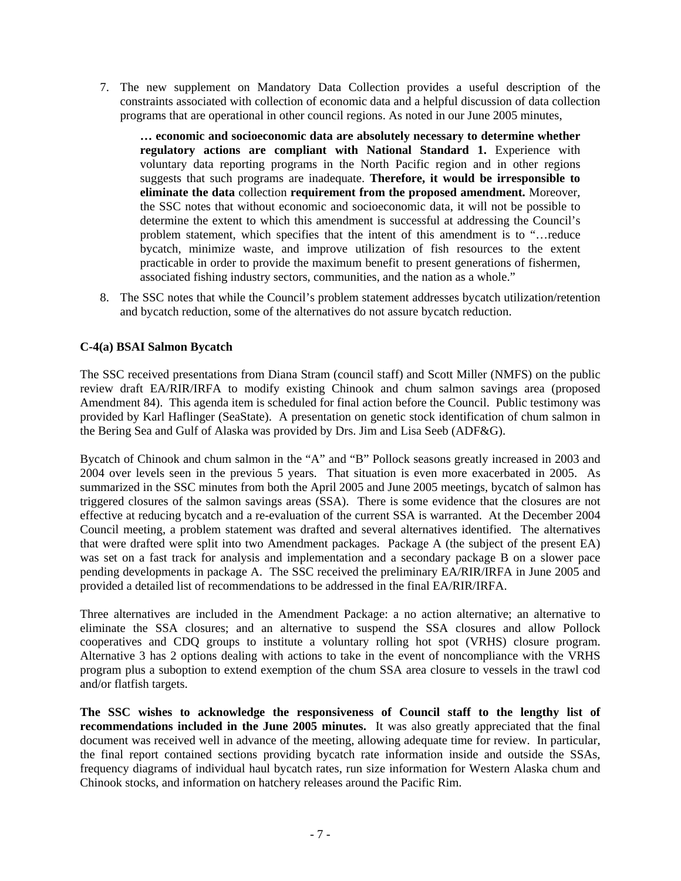7. The new supplement on Mandatory Data Collection provides a useful description of the constraints associated with collection of economic data and a helpful discussion of data collection programs that are operational in other council regions. As noted in our June 2005 minutes,

**… economic and socioeconomic data are absolutely necessary to determine whether regulatory actions are compliant with National Standard 1.** Experience with voluntary data reporting programs in the North Pacific region and in other regions suggests that such programs are inadequate. **Therefore, it would be irresponsible to eliminate the data** collection **requirement from the proposed amendment.** Moreover, the SSC notes that without economic and socioeconomic data, it will not be possible to determine the extent to which this amendment is successful at addressing the Council's problem statement, which specifies that the intent of this amendment is to "…reduce bycatch, minimize waste, and improve utilization of fish resources to the extent practicable in order to provide the maximum benefit to present generations of fishermen, associated fishing industry sectors, communities, and the nation as a whole."

8. The SSC notes that while the Council's problem statement addresses bycatch utilization/retention and bycatch reduction, some of the alternatives do not assure bycatch reduction.

# **C-4(a) BSAI Salmon Bycatch**

The SSC received presentations from Diana Stram (council staff) and Scott Miller (NMFS) on the public review draft EA/RIR/IRFA to modify existing Chinook and chum salmon savings area (proposed Amendment 84). This agenda item is scheduled for final action before the Council. Public testimony was provided by Karl Haflinger (SeaState). A presentation on genetic stock identification of chum salmon in the Bering Sea and Gulf of Alaska was provided by Drs. Jim and Lisa Seeb (ADF&G).

Bycatch of Chinook and chum salmon in the "A" and "B" Pollock seasons greatly increased in 2003 and 2004 over levels seen in the previous 5 years. That situation is even more exacerbated in 2005. As summarized in the SSC minutes from both the April 2005 and June 2005 meetings, bycatch of salmon has triggered closures of the salmon savings areas (SSA). There is some evidence that the closures are not effective at reducing bycatch and a re-evaluation of the current SSA is warranted. At the December 2004 Council meeting, a problem statement was drafted and several alternatives identified. The alternatives that were drafted were split into two Amendment packages. Package A (the subject of the present EA) was set on a fast track for analysis and implementation and a secondary package B on a slower pace pending developments in package A. The SSC received the preliminary EA/RIR/IRFA in June 2005 and provided a detailed list of recommendations to be addressed in the final EA/RIR/IRFA.

Three alternatives are included in the Amendment Package: a no action alternative; an alternative to eliminate the SSA closures; and an alternative to suspend the SSA closures and allow Pollock cooperatives and CDQ groups to institute a voluntary rolling hot spot (VRHS) closure program. Alternative 3 has 2 options dealing with actions to take in the event of noncompliance with the VRHS program plus a suboption to extend exemption of the chum SSA area closure to vessels in the trawl cod and/or flatfish targets.

**The SSC wishes to acknowledge the responsiveness of Council staff to the lengthy list of recommendations included in the June 2005 minutes.** It was also greatly appreciated that the final document was received well in advance of the meeting, allowing adequate time for review. In particular, the final report contained sections providing bycatch rate information inside and outside the SSAs, frequency diagrams of individual haul bycatch rates, run size information for Western Alaska chum and Chinook stocks, and information on hatchery releases around the Pacific Rim.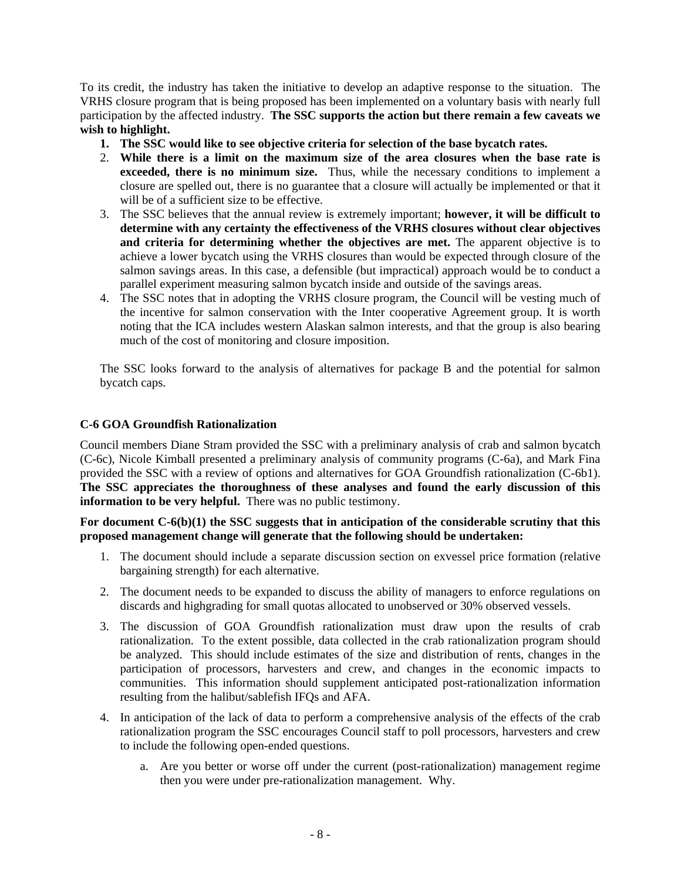To its credit, the industry has taken the initiative to develop an adaptive response to the situation. The VRHS closure program that is being proposed has been implemented on a voluntary basis with nearly full participation by the affected industry. **The SSC supports the action but there remain a few caveats we wish to highlight.** 

- **1. The SSC would like to see objective criteria for selection of the base bycatch rates.**
- 2. **While there is a limit on the maximum size of the area closures when the base rate is exceeded, there is no minimum size.** Thus, while the necessary conditions to implement a closure are spelled out, there is no guarantee that a closure will actually be implemented or that it will be of a sufficient size to be effective.
- 3. The SSC believes that the annual review is extremely important; **however, it will be difficult to determine with any certainty the effectiveness of the VRHS closures without clear objectives and criteria for determining whether the objectives are met.** The apparent objective is to achieve a lower bycatch using the VRHS closures than would be expected through closure of the salmon savings areas. In this case, a defensible (but impractical) approach would be to conduct a parallel experiment measuring salmon bycatch inside and outside of the savings areas.
- 4. The SSC notes that in adopting the VRHS closure program, the Council will be vesting much of the incentive for salmon conservation with the Inter cooperative Agreement group. It is worth noting that the ICA includes western Alaskan salmon interests, and that the group is also bearing much of the cost of monitoring and closure imposition.

The SSC looks forward to the analysis of alternatives for package B and the potential for salmon bycatch caps.

# **C-6 GOA Groundfish Rationalization**

Council members Diane Stram provided the SSC with a preliminary analysis of crab and salmon bycatch (C-6c), Nicole Kimball presented a preliminary analysis of community programs (C-6a), and Mark Fina provided the SSC with a review of options and alternatives for GOA Groundfish rationalization (C-6b1). **The SSC appreciates the thoroughness of these analyses and found the early discussion of this information to be very helpful.** There was no public testimony.

**For document C-6(b)(1) the SSC suggests that in anticipation of the considerable scrutiny that this proposed management change will generate that the following should be undertaken:** 

- 1. The document should include a separate discussion section on exvessel price formation (relative bargaining strength) for each alternative.
- 2. The document needs to be expanded to discuss the ability of managers to enforce regulations on discards and highgrading for small quotas allocated to unobserved or 30% observed vessels.
- 3. The discussion of GOA Groundfish rationalization must draw upon the results of crab rationalization. To the extent possible, data collected in the crab rationalization program should be analyzed. This should include estimates of the size and distribution of rents, changes in the participation of processors, harvesters and crew, and changes in the economic impacts to communities. This information should supplement anticipated post-rationalization information resulting from the halibut/sablefish IFQs and AFA.
- 4. In anticipation of the lack of data to perform a comprehensive analysis of the effects of the crab rationalization program the SSC encourages Council staff to poll processors, harvesters and crew to include the following open-ended questions.
	- a. Are you better or worse off under the current (post-rationalization) management regime then you were under pre-rationalization management. Why.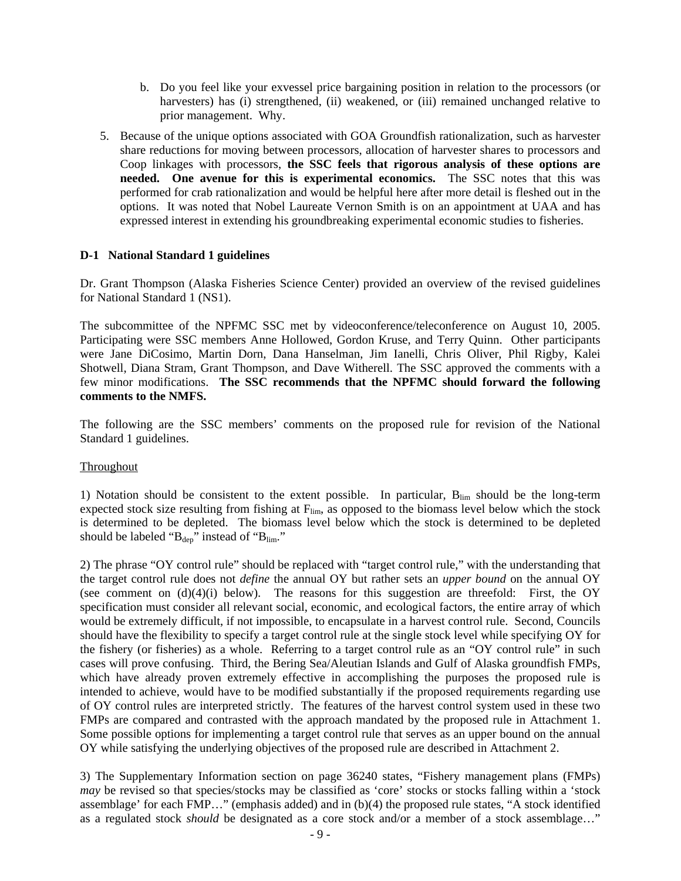- b. Do you feel like your exvessel price bargaining position in relation to the processors (or harvesters) has (i) strengthened, (ii) weakened, or (iii) remained unchanged relative to prior management. Why.
- 5. Because of the unique options associated with GOA Groundfish rationalization, such as harvester share reductions for moving between processors, allocation of harvester shares to processors and Coop linkages with processors, **the SSC feels that rigorous analysis of these options are needed. One avenue for this is experimental economics.** The SSC notes that this was performed for crab rationalization and would be helpful here after more detail is fleshed out in the options. It was noted that Nobel Laureate Vernon Smith is on an appointment at UAA and has expressed interest in extending his groundbreaking experimental economic studies to fisheries.

#### **D-1 National Standard 1 guidelines**

Dr. Grant Thompson (Alaska Fisheries Science Center) provided an overview of the revised guidelines for National Standard 1 (NS1).

The subcommittee of the NPFMC SSC met by videoconference/teleconference on August 10, 2005. Participating were SSC members Anne Hollowed, Gordon Kruse, and Terry Quinn. Other participants were Jane DiCosimo, Martin Dorn, Dana Hanselman, Jim Ianelli, Chris Oliver, Phil Rigby, Kalei Shotwell, Diana Stram, Grant Thompson, and Dave Witherell. The SSC approved the comments with a few minor modifications. **The SSC recommends that the NPFMC should forward the following comments to the NMFS.** 

The following are the SSC members' comments on the proposed rule for revision of the National Standard 1 guidelines.

#### Throughout

1) Notation should be consistent to the extent possible. In particular,  $B_{\text{lim}}$  should be the long-term expected stock size resulting from fishing at  $F_{\text{lim}}$ , as opposed to the biomass level below which the stock is determined to be depleted. The biomass level below which the stock is determined to be depleted should be labeled " $B_{dep}$ " instead of " $B_{lim}$ ."

2) The phrase "OY control rule" should be replaced with "target control rule," with the understanding that the target control rule does not *define* the annual OY but rather sets an *upper bound* on the annual OY (see comment on  $(d)(4)(i)$  below). The reasons for this suggestion are threefold: First, the OY specification must consider all relevant social, economic, and ecological factors, the entire array of which would be extremely difficult, if not impossible, to encapsulate in a harvest control rule. Second, Councils should have the flexibility to specify a target control rule at the single stock level while specifying OY for the fishery (or fisheries) as a whole. Referring to a target control rule as an "OY control rule" in such cases will prove confusing. Third, the Bering Sea/Aleutian Islands and Gulf of Alaska groundfish FMPs, which have already proven extremely effective in accomplishing the purposes the proposed rule is intended to achieve, would have to be modified substantially if the proposed requirements regarding use of OY control rules are interpreted strictly. The features of the harvest control system used in these two FMPs are compared and contrasted with the approach mandated by the proposed rule in Attachment 1. Some possible options for implementing a target control rule that serves as an upper bound on the annual OY while satisfying the underlying objectives of the proposed rule are described in Attachment 2.

3) The Supplementary Information section on page 36240 states, "Fishery management plans (FMPs) *may* be revised so that species/stocks may be classified as 'core' stocks or stocks falling within a 'stock assemblage' for each FMP…" (emphasis added) and in (b)(4) the proposed rule states, "A stock identified as a regulated stock *should* be designated as a core stock and/or a member of a stock assemblage…"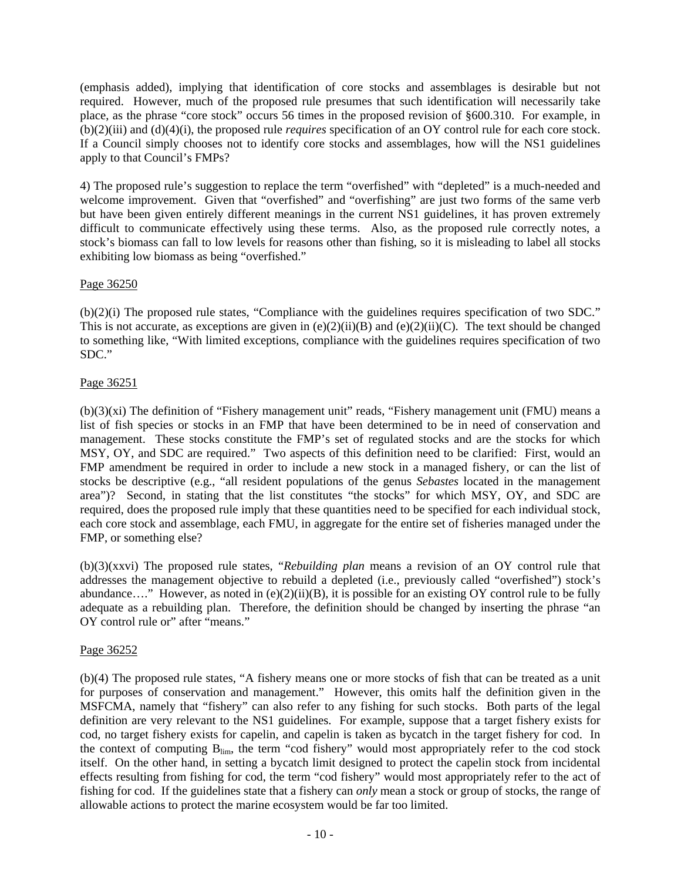(emphasis added), implying that identification of core stocks and assemblages is desirable but not required. However, much of the proposed rule presumes that such identification will necessarily take place, as the phrase "core stock" occurs 56 times in the proposed revision of §600.310. For example, in (b)(2)(iii) and (d)(4)(i), the proposed rule *requires* specification of an OY control rule for each core stock. If a Council simply chooses not to identify core stocks and assemblages, how will the NS1 guidelines apply to that Council's FMPs?

4) The proposed rule's suggestion to replace the term "overfished" with "depleted" is a much-needed and welcome improvement. Given that "overfished" and "overfishing" are just two forms of the same verb but have been given entirely different meanings in the current NS1 guidelines, it has proven extremely difficult to communicate effectively using these terms. Also, as the proposed rule correctly notes, a stock's biomass can fall to low levels for reasons other than fishing, so it is misleading to label all stocks exhibiting low biomass as being "overfished."

# Page 36250

(b)(2)(i) The proposed rule states, "Compliance with the guidelines requires specification of two SDC." This is not accurate, as exceptions are given in  $(e)(2)(ii)(B)$  and  $(e)(2)(ii)(C)$ . The text should be changed to something like, "With limited exceptions, compliance with the guidelines requires specification of two SDC."

# Page 36251

(b)(3)(xi) The definition of "Fishery management unit" reads, "Fishery management unit (FMU) means a list of fish species or stocks in an FMP that have been determined to be in need of conservation and management. These stocks constitute the FMP's set of regulated stocks and are the stocks for which MSY, OY, and SDC are required." Two aspects of this definition need to be clarified: First, would an FMP amendment be required in order to include a new stock in a managed fishery, or can the list of stocks be descriptive (e.g., "all resident populations of the genus *Sebastes* located in the management area")? Second, in stating that the list constitutes "the stocks" for which MSY, OY, and SDC are required, does the proposed rule imply that these quantities need to be specified for each individual stock, each core stock and assemblage, each FMU, in aggregate for the entire set of fisheries managed under the FMP, or something else?

(b)(3)(xxvi) The proposed rule states, "*Rebuilding plan* means a revision of an OY control rule that addresses the management objective to rebuild a depleted (i.e., previously called "overfished") stock's abundance…." However, as noted in (e)(2)(ii)(B), it is possible for an existing OY control rule to be fully adequate as a rebuilding plan. Therefore, the definition should be changed by inserting the phrase "an OY control rule or" after "means."

# Page 36252

(b)(4) The proposed rule states, "A fishery means one or more stocks of fish that can be treated as a unit for purposes of conservation and management." However, this omits half the definition given in the MSFCMA, namely that "fishery" can also refer to any fishing for such stocks. Both parts of the legal definition are very relevant to the NS1 guidelines. For example, suppose that a target fishery exists for cod, no target fishery exists for capelin, and capelin is taken as bycatch in the target fishery for cod. In the context of computing B<sub>lim</sub>, the term "cod fishery" would most appropriately refer to the cod stock itself. On the other hand, in setting a bycatch limit designed to protect the capelin stock from incidental effects resulting from fishing for cod, the term "cod fishery" would most appropriately refer to the act of fishing for cod. If the guidelines state that a fishery can *only* mean a stock or group of stocks, the range of allowable actions to protect the marine ecosystem would be far too limited.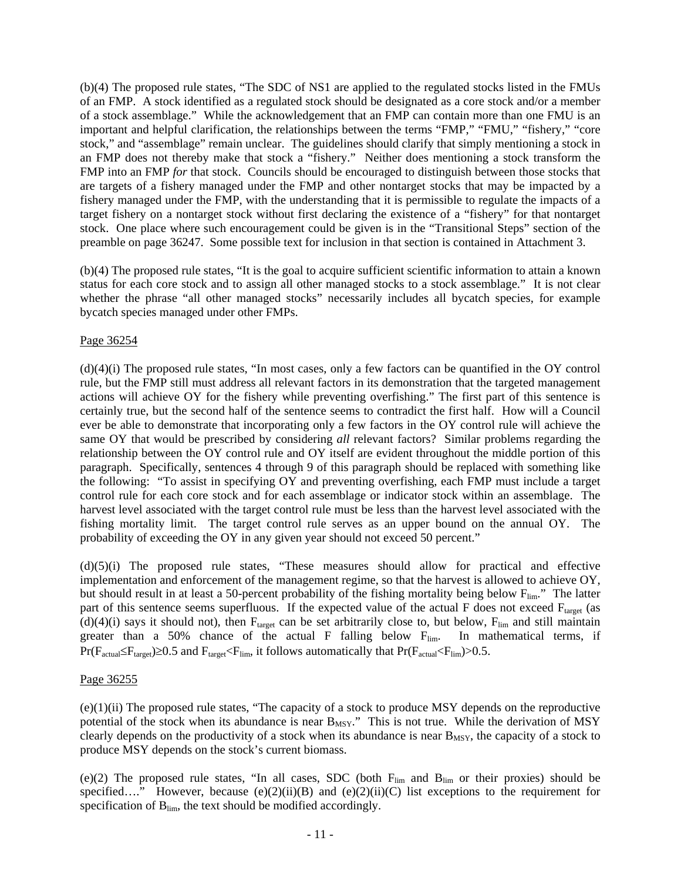(b)(4) The proposed rule states, "The SDC of NS1 are applied to the regulated stocks listed in the FMUs of an FMP. A stock identified as a regulated stock should be designated as a core stock and/or a member of a stock assemblage." While the acknowledgement that an FMP can contain more than one FMU is an important and helpful clarification, the relationships between the terms "FMP," "FMU," "fishery," "core stock," and "assemblage" remain unclear. The guidelines should clarify that simply mentioning a stock in an FMP does not thereby make that stock a "fishery." Neither does mentioning a stock transform the FMP into an FMP *for* that stock. Councils should be encouraged to distinguish between those stocks that are targets of a fishery managed under the FMP and other nontarget stocks that may be impacted by a fishery managed under the FMP, with the understanding that it is permissible to regulate the impacts of a target fishery on a nontarget stock without first declaring the existence of a "fishery" for that nontarget stock. One place where such encouragement could be given is in the "Transitional Steps" section of the preamble on page 36247. Some possible text for inclusion in that section is contained in Attachment 3.

(b)(4) The proposed rule states, "It is the goal to acquire sufficient scientific information to attain a known status for each core stock and to assign all other managed stocks to a stock assemblage." It is not clear whether the phrase "all other managed stocks" necessarily includes all bycatch species, for example bycatch species managed under other FMPs.

# Page 36254

(d)(4)(i) The proposed rule states, "In most cases, only a few factors can be quantified in the OY control rule, but the FMP still must address all relevant factors in its demonstration that the targeted management actions will achieve OY for the fishery while preventing overfishing." The first part of this sentence is certainly true, but the second half of the sentence seems to contradict the first half. How will a Council ever be able to demonstrate that incorporating only a few factors in the OY control rule will achieve the same OY that would be prescribed by considering *all* relevant factors? Similar problems regarding the relationship between the OY control rule and OY itself are evident throughout the middle portion of this paragraph. Specifically, sentences 4 through 9 of this paragraph should be replaced with something like the following: "To assist in specifying OY and preventing overfishing, each FMP must include a target control rule for each core stock and for each assemblage or indicator stock within an assemblage. The harvest level associated with the target control rule must be less than the harvest level associated with the fishing mortality limit. The target control rule serves as an upper bound on the annual OY. The probability of exceeding the OY in any given year should not exceed 50 percent."

(d)(5)(i) The proposed rule states, "These measures should allow for practical and effective implementation and enforcement of the management regime, so that the harvest is allowed to achieve OY, but should result in at least a 50-percent probability of the fishing mortality being below  $F_{\text{lim}}$ ." The latter part of this sentence seems superfluous. If the expected value of the actual  $F$  does not exceed  $F_{target}$  (as (d)(4)(i) says it should not), then  $F_{target}$  can be set arbitrarily close to, but below,  $F_{lim}$  and still maintain greater than a 50% chance of the actual F falling below  $F_{\text{lim}}$ . In mathematical terms, if  $Pr(F_{actual} \leq F_{target}) \geq 0.5$  and  $F_{target} \leq F_{lim}$ , it follows automatically that  $Pr(F_{actual} \leq F_{lim}) > 0.5$ .

# Page 36255

(e)(1)(ii) The proposed rule states, "The capacity of a stock to produce MSY depends on the reproductive potential of the stock when its abundance is near B<sub>MSY</sub>." This is not true. While the derivation of MSY clearly depends on the productivity of a stock when its abundance is near  $B_{MSY}$ , the capacity of a stock to produce MSY depends on the stock's current biomass.

(e)(2) The proposed rule states, "In all cases, SDC (both  $F_{lim}$  and  $B_{lim}$  or their proxies) should be specified…." However, because  $(e)(2)(ii)(B)$  and  $(e)(2)(ii)(C)$  list exceptions to the requirement for specification of  $B_{lim}$ , the text should be modified accordingly.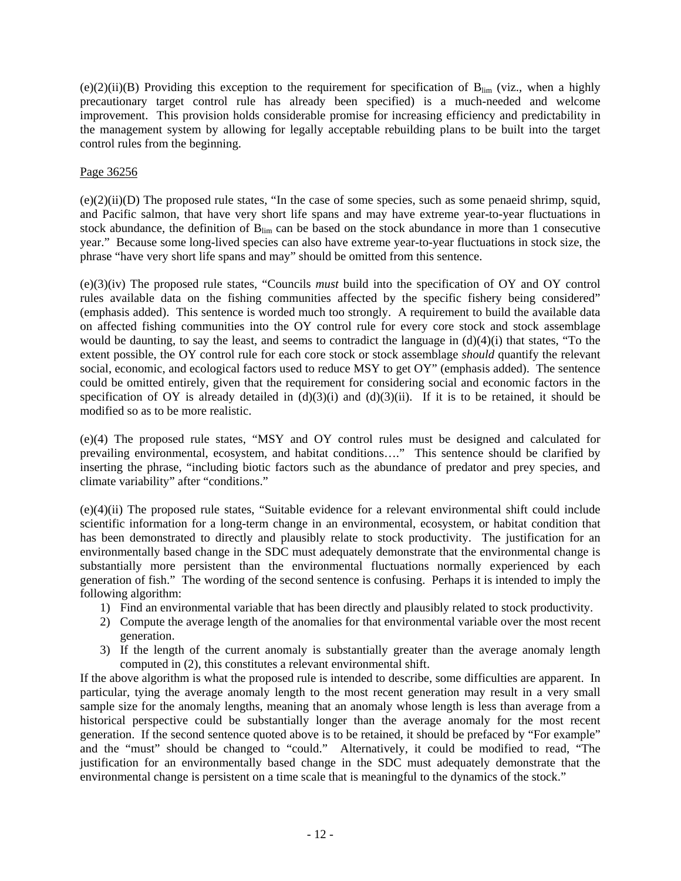(e)(2)(ii)(B) Providing this exception to the requirement for specification of  $B_{lim}$  (viz., when a highly precautionary target control rule has already been specified) is a much-needed and welcome improvement. This provision holds considerable promise for increasing efficiency and predictability in the management system by allowing for legally acceptable rebuilding plans to be built into the target control rules from the beginning.

# Page 36256

 $(e)(2)(ii)(D)$  The proposed rule states, "In the case of some species, such as some penaeid shrimp, squid, and Pacific salmon, that have very short life spans and may have extreme year-to-year fluctuations in stock abundance, the definition of  $B_{\text{lim}}$  can be based on the stock abundance in more than 1 consecutive year." Because some long-lived species can also have extreme year-to-year fluctuations in stock size, the phrase "have very short life spans and may" should be omitted from this sentence.

(e)(3)(iv) The proposed rule states, "Councils *must* build into the specification of OY and OY control rules available data on the fishing communities affected by the specific fishery being considered" (emphasis added). This sentence is worded much too strongly. A requirement to build the available data on affected fishing communities into the OY control rule for every core stock and stock assemblage would be daunting, to say the least, and seems to contradict the language in  $(d)(4)(i)$  that states, "To the extent possible, the OY control rule for each core stock or stock assemblage *should* quantify the relevant social, economic, and ecological factors used to reduce MSY to get OY" (emphasis added). The sentence could be omitted entirely, given that the requirement for considering social and economic factors in the specification of OY is already detailed in  $(d)(3)(i)$  and  $(d)(3)(ii)$ . If it is to be retained, it should be modified so as to be more realistic.

(e)(4) The proposed rule states, "MSY and OY control rules must be designed and calculated for prevailing environmental, ecosystem, and habitat conditions…." This sentence should be clarified by inserting the phrase, "including biotic factors such as the abundance of predator and prey species, and climate variability" after "conditions."

(e)(4)(ii) The proposed rule states, "Suitable evidence for a relevant environmental shift could include scientific information for a long-term change in an environmental, ecosystem, or habitat condition that has been demonstrated to directly and plausibly relate to stock productivity. The justification for an environmentally based change in the SDC must adequately demonstrate that the environmental change is substantially more persistent than the environmental fluctuations normally experienced by each generation of fish." The wording of the second sentence is confusing. Perhaps it is intended to imply the following algorithm:

- 1) Find an environmental variable that has been directly and plausibly related to stock productivity.
- 2) Compute the average length of the anomalies for that environmental variable over the most recent generation.
- 3) If the length of the current anomaly is substantially greater than the average anomaly length computed in (2), this constitutes a relevant environmental shift.

If the above algorithm is what the proposed rule is intended to describe, some difficulties are apparent. In particular, tying the average anomaly length to the most recent generation may result in a very small sample size for the anomaly lengths, meaning that an anomaly whose length is less than average from a historical perspective could be substantially longer than the average anomaly for the most recent generation. If the second sentence quoted above is to be retained, it should be prefaced by "For example" and the "must" should be changed to "could." Alternatively, it could be modified to read, "The justification for an environmentally based change in the SDC must adequately demonstrate that the environmental change is persistent on a time scale that is meaningful to the dynamics of the stock."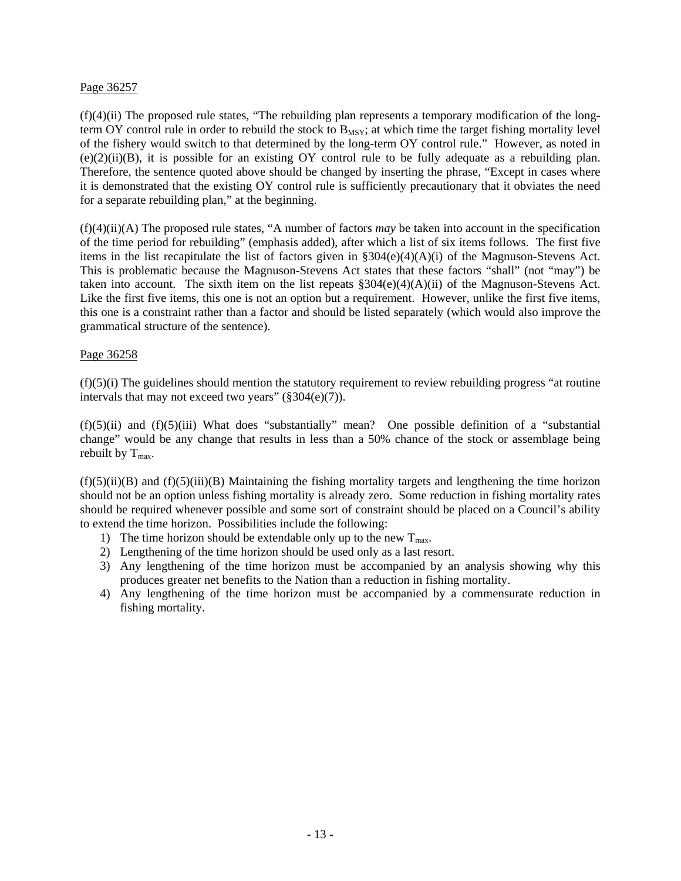## Page 36257

(f)(4)(ii) The proposed rule states, "The rebuilding plan represents a temporary modification of the longterm OY control rule in order to rebuild the stock to  $B_{MSY}$ ; at which time the target fishing mortality level of the fishery would switch to that determined by the long-term OY control rule." However, as noted in  $(e)(2)(ii)(B)$ , it is possible for an existing OY control rule to be fully adequate as a rebuilding plan. Therefore, the sentence quoted above should be changed by inserting the phrase, "Except in cases where it is demonstrated that the existing OY control rule is sufficiently precautionary that it obviates the need for a separate rebuilding plan," at the beginning.

(f)(4)(ii)(A) The proposed rule states, "A number of factors *may* be taken into account in the specification of the time period for rebuilding" (emphasis added), after which a list of six items follows. The first five items in the list recapitulate the list of factors given in §304(e)(4)(A)(i) of the Magnuson-Stevens Act. This is problematic because the Magnuson-Stevens Act states that these factors "shall" (not "may") be taken into account. The sixth item on the list repeats  $\S304(e)(A)(A)(ii)$  of the Magnuson-Stevens Act. Like the first five items, this one is not an option but a requirement. However, unlike the first five items, this one is a constraint rather than a factor and should be listed separately (which would also improve the grammatical structure of the sentence).

## Page 36258

 $(f)(5)(i)$  The guidelines should mention the statutory requirement to review rebuilding progress "at routine" intervals that may not exceed two years"  $(\frac{2}{304(e)})(7)$ .

 $(f)(5)(ii)$  and  $(f)(5)(iii)$  What does "substantially" mean? One possible definition of a "substantial" change" would be any change that results in less than a 50% chance of the stock or assemblage being rebuilt by  $T_{\text{max}}$ .

 $(f)(5)(ii)(B)$  and  $(f)(5)(iii)(B)$  Maintaining the fishing mortality targets and lengthening the time horizon should not be an option unless fishing mortality is already zero. Some reduction in fishing mortality rates should be required whenever possible and some sort of constraint should be placed on a Council's ability to extend the time horizon. Possibilities include the following:

- 1) The time horizon should be extendable only up to the new  $T_{\text{max}}$ .
- 2) Lengthening of the time horizon should be used only as a last resort.
- 3) Any lengthening of the time horizon must be accompanied by an analysis showing why this produces greater net benefits to the Nation than a reduction in fishing mortality.
- 4) Any lengthening of the time horizon must be accompanied by a commensurate reduction in fishing mortality.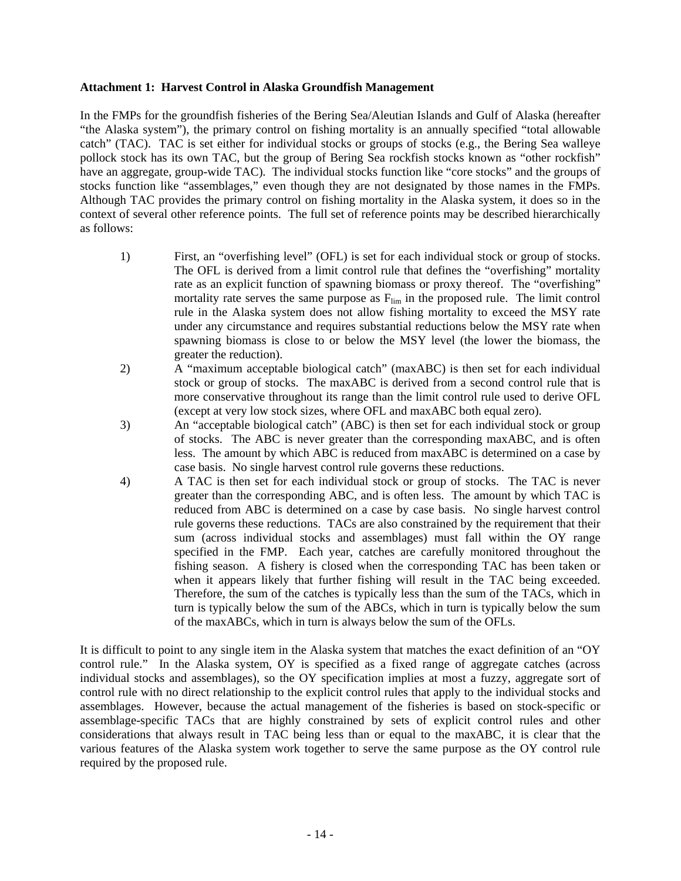#### **Attachment 1: Harvest Control in Alaska Groundfish Management**

In the FMPs for the groundfish fisheries of the Bering Sea/Aleutian Islands and Gulf of Alaska (hereafter "the Alaska system"), the primary control on fishing mortality is an annually specified "total allowable catch" (TAC). TAC is set either for individual stocks or groups of stocks (e.g., the Bering Sea walleye pollock stock has its own TAC, but the group of Bering Sea rockfish stocks known as "other rockfish" have an aggregate, group-wide TAC). The individual stocks function like "core stocks" and the groups of stocks function like "assemblages," even though they are not designated by those names in the FMPs. Although TAC provides the primary control on fishing mortality in the Alaska system, it does so in the context of several other reference points. The full set of reference points may be described hierarchically as follows:

- 1) First, an "overfishing level" (OFL) is set for each individual stock or group of stocks. The OFL is derived from a limit control rule that defines the "overfishing" mortality rate as an explicit function of spawning biomass or proxy thereof. The "overfishing" mortality rate serves the same purpose as  $F_{\text{lim}}$  in the proposed rule. The limit control rule in the Alaska system does not allow fishing mortality to exceed the MSY rate under any circumstance and requires substantial reductions below the MSY rate when spawning biomass is close to or below the MSY level (the lower the biomass, the greater the reduction).
- 2) A "maximum acceptable biological catch" (maxABC) is then set for each individual stock or group of stocks. The maxABC is derived from a second control rule that is more conservative throughout its range than the limit control rule used to derive OFL (except at very low stock sizes, where OFL and maxABC both equal zero).
- 3) An "acceptable biological catch" (ABC) is then set for each individual stock or group of stocks. The ABC is never greater than the corresponding maxABC, and is often less. The amount by which ABC is reduced from maxABC is determined on a case by case basis. No single harvest control rule governs these reductions.
- 4) A TAC is then set for each individual stock or group of stocks. The TAC is never greater than the corresponding ABC, and is often less. The amount by which TAC is reduced from ABC is determined on a case by case basis. No single harvest control rule governs these reductions. TACs are also constrained by the requirement that their sum (across individual stocks and assemblages) must fall within the OY range specified in the FMP. Each year, catches are carefully monitored throughout the fishing season. A fishery is closed when the corresponding TAC has been taken or when it appears likely that further fishing will result in the TAC being exceeded. Therefore, the sum of the catches is typically less than the sum of the TACs, which in turn is typically below the sum of the ABCs, which in turn is typically below the sum of the maxABCs, which in turn is always below the sum of the OFLs.

It is difficult to point to any single item in the Alaska system that matches the exact definition of an "OY control rule." In the Alaska system, OY is specified as a fixed range of aggregate catches (across individual stocks and assemblages), so the OY specification implies at most a fuzzy, aggregate sort of control rule with no direct relationship to the explicit control rules that apply to the individual stocks and assemblages. However, because the actual management of the fisheries is based on stock-specific or assemblage-specific TACs that are highly constrained by sets of explicit control rules and other considerations that always result in TAC being less than or equal to the maxABC, it is clear that the various features of the Alaska system work together to serve the same purpose as the OY control rule required by the proposed rule.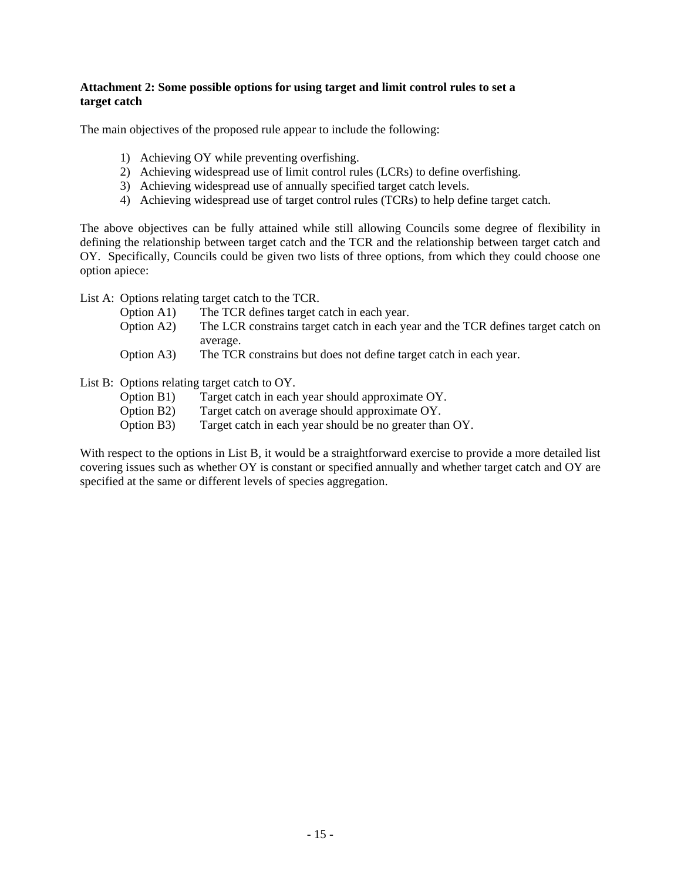# **Attachment 2: Some possible options for using target and limit control rules to set a target catch**

The main objectives of the proposed rule appear to include the following:

- 1) Achieving OY while preventing overfishing.
- 2) Achieving widespread use of limit control rules (LCRs) to define overfishing.
- 3) Achieving widespread use of annually specified target catch levels.
- 4) Achieving widespread use of target control rules (TCRs) to help define target catch.

The above objectives can be fully attained while still allowing Councils some degree of flexibility in defining the relationship between target catch and the TCR and the relationship between target catch and OY. Specifically, Councils could be given two lists of three options, from which they could choose one option apiece:

List A: Options relating target catch to the TCR.

- Option A1) The TCR defines target catch in each year.
- Option A2) The LCR constrains target catch in each year and the TCR defines target catch on average.
- Option A3) The TCR constrains but does not define target catch in each year.
- List B: Options relating target catch to OY.
	- Option B1) Target catch in each year should approximate OY.
	- Option B2) Target catch on average should approximate OY.
	- Option B3) Target catch in each year should be no greater than OY.

With respect to the options in List B, it would be a straightforward exercise to provide a more detailed list covering issues such as whether OY is constant or specified annually and whether target catch and OY are specified at the same or different levels of species aggregation.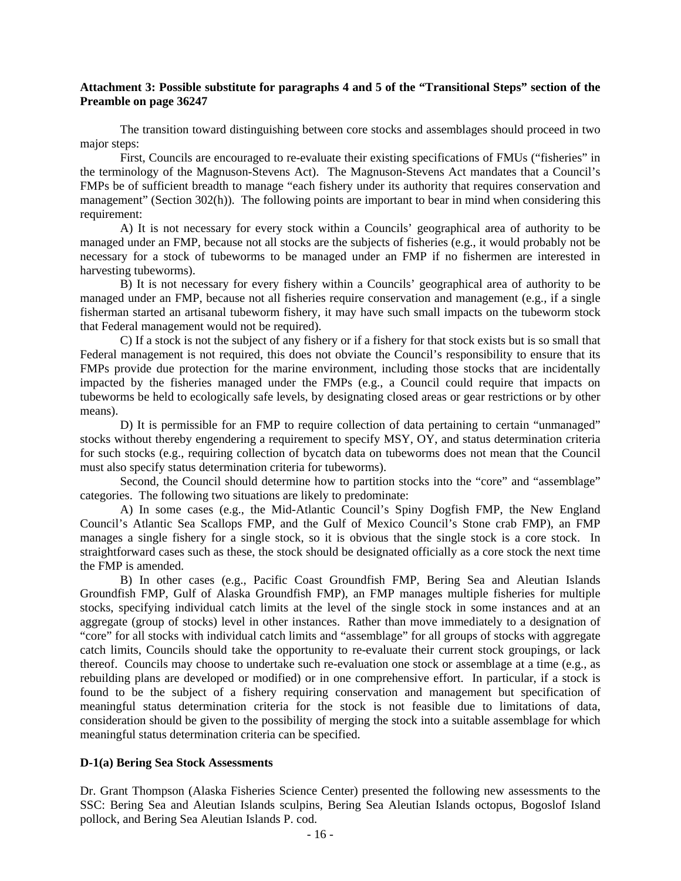#### **Attachment 3: Possible substitute for paragraphs 4 and 5 of the "Transitional Steps" section of the Preamble on page 36247**

The transition toward distinguishing between core stocks and assemblages should proceed in two major steps:

 First, Councils are encouraged to re-evaluate their existing specifications of FMUs ("fisheries" in the terminology of the Magnuson-Stevens Act). The Magnuson-Stevens Act mandates that a Council's FMPs be of sufficient breadth to manage "each fishery under its authority that requires conservation and management" (Section 302(h)). The following points are important to bear in mind when considering this requirement:

 A) It is not necessary for every stock within a Councils' geographical area of authority to be managed under an FMP, because not all stocks are the subjects of fisheries (e.g., it would probably not be necessary for a stock of tubeworms to be managed under an FMP if no fishermen are interested in harvesting tubeworms).

 B) It is not necessary for every fishery within a Councils' geographical area of authority to be managed under an FMP, because not all fisheries require conservation and management (e.g., if a single fisherman started an artisanal tubeworm fishery, it may have such small impacts on the tubeworm stock that Federal management would not be required).

 C) If a stock is not the subject of any fishery or if a fishery for that stock exists but is so small that Federal management is not required, this does not obviate the Council's responsibility to ensure that its FMPs provide due protection for the marine environment, including those stocks that are incidentally impacted by the fisheries managed under the FMPs (e.g., a Council could require that impacts on tubeworms be held to ecologically safe levels, by designating closed areas or gear restrictions or by other means).

 D) It is permissible for an FMP to require collection of data pertaining to certain "unmanaged" stocks without thereby engendering a requirement to specify MSY, OY, and status determination criteria for such stocks (e.g., requiring collection of bycatch data on tubeworms does not mean that the Council must also specify status determination criteria for tubeworms).

 Second, the Council should determine how to partition stocks into the "core" and "assemblage" categories. The following two situations are likely to predominate:

 A) In some cases (e.g., the Mid-Atlantic Council's Spiny Dogfish FMP, the New England Council's Atlantic Sea Scallops FMP, and the Gulf of Mexico Council's Stone crab FMP), an FMP manages a single fishery for a single stock, so it is obvious that the single stock is a core stock. In straightforward cases such as these, the stock should be designated officially as a core stock the next time the FMP is amended.

 B) In other cases (e.g., Pacific Coast Groundfish FMP, Bering Sea and Aleutian Islands Groundfish FMP, Gulf of Alaska Groundfish FMP), an FMP manages multiple fisheries for multiple stocks, specifying individual catch limits at the level of the single stock in some instances and at an aggregate (group of stocks) level in other instances. Rather than move immediately to a designation of "core" for all stocks with individual catch limits and "assemblage" for all groups of stocks with aggregate catch limits, Councils should take the opportunity to re-evaluate their current stock groupings, or lack thereof. Councils may choose to undertake such re-evaluation one stock or assemblage at a time (e.g., as rebuilding plans are developed or modified) or in one comprehensive effort. In particular, if a stock is found to be the subject of a fishery requiring conservation and management but specification of meaningful status determination criteria for the stock is not feasible due to limitations of data, consideration should be given to the possibility of merging the stock into a suitable assemblage for which meaningful status determination criteria can be specified.

## **D-1(a) Bering Sea Stock Assessments**

Dr. Grant Thompson (Alaska Fisheries Science Center) presented the following new assessments to the SSC: Bering Sea and Aleutian Islands sculpins, Bering Sea Aleutian Islands octopus, Bogoslof Island pollock, and Bering Sea Aleutian Islands P. cod.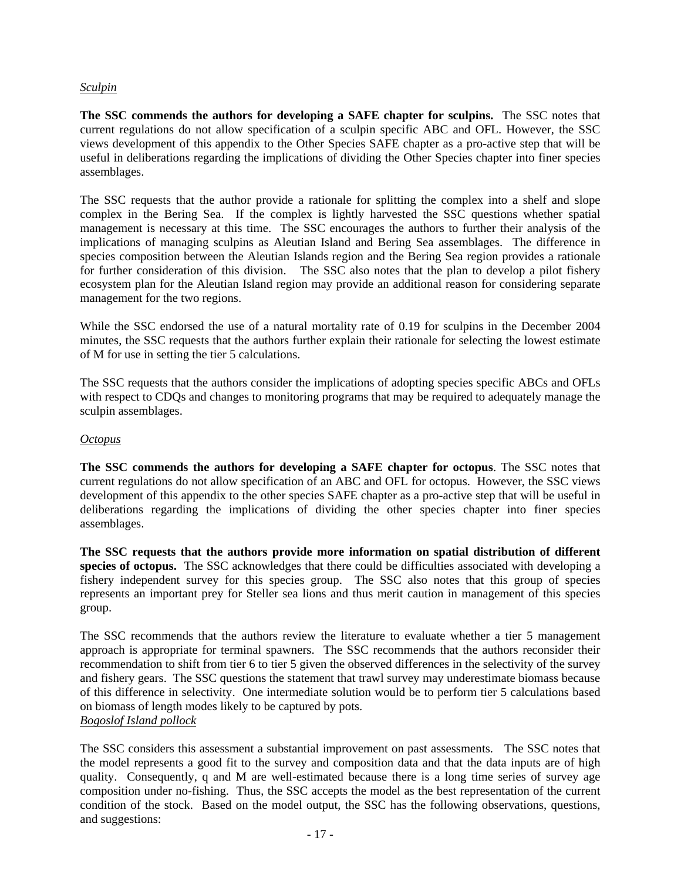# *Sculpin*

**The SSC commends the authors for developing a SAFE chapter for sculpins.** The SSC notes that current regulations do not allow specification of a sculpin specific ABC and OFL. However, the SSC views development of this appendix to the Other Species SAFE chapter as a pro-active step that will be useful in deliberations regarding the implications of dividing the Other Species chapter into finer species assemblages.

The SSC requests that the author provide a rationale for splitting the complex into a shelf and slope complex in the Bering Sea. If the complex is lightly harvested the SSC questions whether spatial management is necessary at this time. The SSC encourages the authors to further their analysis of the implications of managing sculpins as Aleutian Island and Bering Sea assemblages. The difference in species composition between the Aleutian Islands region and the Bering Sea region provides a rationale for further consideration of this division. The SSC also notes that the plan to develop a pilot fishery ecosystem plan for the Aleutian Island region may provide an additional reason for considering separate management for the two regions.

While the SSC endorsed the use of a natural mortality rate of 0.19 for sculpins in the December 2004 minutes, the SSC requests that the authors further explain their rationale for selecting the lowest estimate of M for use in setting the tier 5 calculations.

The SSC requests that the authors consider the implications of adopting species specific ABCs and OFLs with respect to CDQs and changes to monitoring programs that may be required to adequately manage the sculpin assemblages.

## *Octopus*

**The SSC commends the authors for developing a SAFE chapter for octopus**. The SSC notes that current regulations do not allow specification of an ABC and OFL for octopus. However, the SSC views development of this appendix to the other species SAFE chapter as a pro-active step that will be useful in deliberations regarding the implications of dividing the other species chapter into finer species assemblages.

**The SSC requests that the authors provide more information on spatial distribution of different species of octopus.** The SSC acknowledges that there could be difficulties associated with developing a fishery independent survey for this species group. The SSC also notes that this group of species represents an important prey for Steller sea lions and thus merit caution in management of this species group.

The SSC recommends that the authors review the literature to evaluate whether a tier 5 management approach is appropriate for terminal spawners. The SSC recommends that the authors reconsider their recommendation to shift from tier 6 to tier 5 given the observed differences in the selectivity of the survey and fishery gears. The SSC questions the statement that trawl survey may underestimate biomass because of this difference in selectivity. One intermediate solution would be to perform tier 5 calculations based on biomass of length modes likely to be captured by pots. *Bogoslof Island pollock*

The SSC considers this assessment a substantial improvement on past assessments. The SSC notes that the model represents a good fit to the survey and composition data and that the data inputs are of high quality. Consequently, q and M are well-estimated because there is a long time series of survey age composition under no-fishing. Thus, the SSC accepts the model as the best representation of the current condition of the stock. Based on the model output, the SSC has the following observations, questions, and suggestions: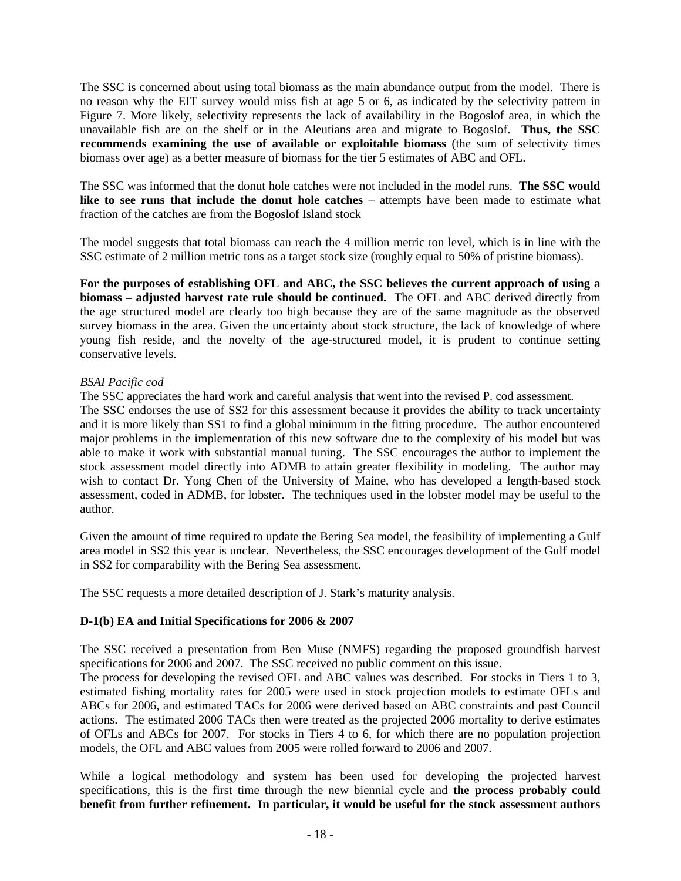The SSC is concerned about using total biomass as the main abundance output from the model. There is no reason why the EIT survey would miss fish at age 5 or 6, as indicated by the selectivity pattern in Figure 7. More likely, selectivity represents the lack of availability in the Bogoslof area, in which the unavailable fish are on the shelf or in the Aleutians area and migrate to Bogoslof. **Thus, the SSC recommends examining the use of available or exploitable biomass** (the sum of selectivity times biomass over age) as a better measure of biomass for the tier 5 estimates of ABC and OFL.

The SSC was informed that the donut hole catches were not included in the model runs. **The SSC would like to see runs that include the donut hole catches** – attempts have been made to estimate what fraction of the catches are from the Bogoslof Island stock

The model suggests that total biomass can reach the 4 million metric ton level, which is in line with the SSC estimate of 2 million metric tons as a target stock size (roughly equal to 50% of pristine biomass).

**For the purposes of establishing OFL and ABC, the SSC believes the current approach of using a biomass – adjusted harvest rate rule should be continued.** The OFL and ABC derived directly from the age structured model are clearly too high because they are of the same magnitude as the observed survey biomass in the area. Given the uncertainty about stock structure, the lack of knowledge of where young fish reside, and the novelty of the age-structured model, it is prudent to continue setting conservative levels.

# *BSAI Pacific cod*

The SSC appreciates the hard work and careful analysis that went into the revised P. cod assessment.

The SSC endorses the use of SS2 for this assessment because it provides the ability to track uncertainty and it is more likely than SS1 to find a global minimum in the fitting procedure. The author encountered major problems in the implementation of this new software due to the complexity of his model but was able to make it work with substantial manual tuning. The SSC encourages the author to implement the stock assessment model directly into ADMB to attain greater flexibility in modeling. The author may wish to contact Dr. Yong Chen of the University of Maine, who has developed a length-based stock assessment, coded in ADMB, for lobster. The techniques used in the lobster model may be useful to the author.

Given the amount of time required to update the Bering Sea model, the feasibility of implementing a Gulf area model in SS2 this year is unclear. Nevertheless, the SSC encourages development of the Gulf model in SS2 for comparability with the Bering Sea assessment.

The SSC requests a more detailed description of J. Stark's maturity analysis.

## **D-1(b) EA and Initial Specifications for 2006 & 2007**

The SSC received a presentation from Ben Muse (NMFS) regarding the proposed groundfish harvest specifications for 2006 and 2007. The SSC received no public comment on this issue.

The process for developing the revised OFL and ABC values was described. For stocks in Tiers 1 to 3, estimated fishing mortality rates for 2005 were used in stock projection models to estimate OFLs and ABCs for 2006, and estimated TACs for 2006 were derived based on ABC constraints and past Council actions. The estimated 2006 TACs then were treated as the projected 2006 mortality to derive estimates of OFLs and ABCs for 2007. For stocks in Tiers 4 to 6, for which there are no population projection models, the OFL and ABC values from 2005 were rolled forward to 2006 and 2007.

While a logical methodology and system has been used for developing the projected harvest specifications, this is the first time through the new biennial cycle and **the process probably could benefit from further refinement. In particular, it would be useful for the stock assessment authors**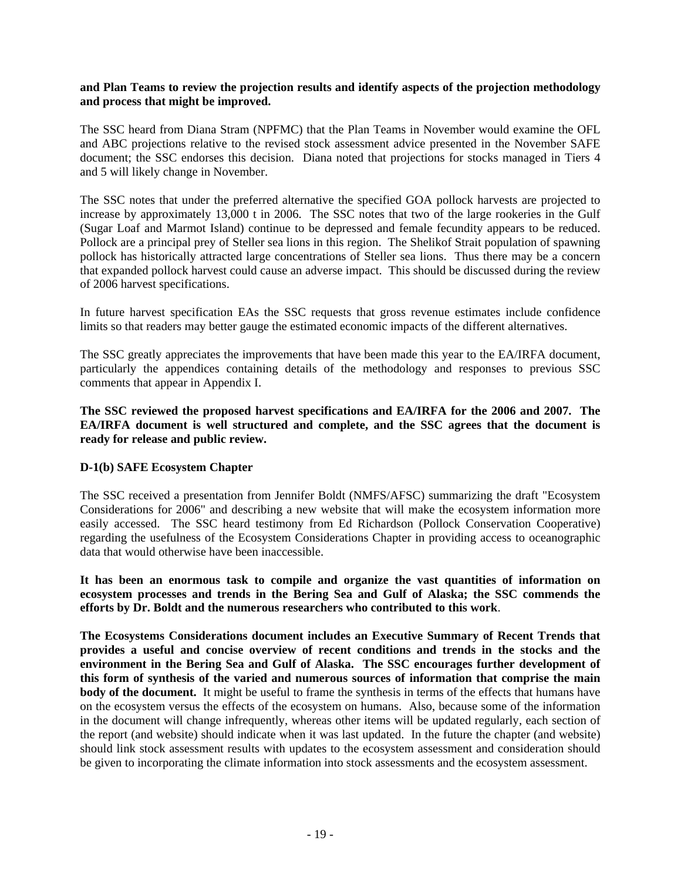#### **and Plan Teams to review the projection results and identify aspects of the projection methodology and process that might be improved.**

The SSC heard from Diana Stram (NPFMC) that the Plan Teams in November would examine the OFL and ABC projections relative to the revised stock assessment advice presented in the November SAFE document; the SSC endorses this decision. Diana noted that projections for stocks managed in Tiers 4 and 5 will likely change in November.

The SSC notes that under the preferred alternative the specified GOA pollock harvests are projected to increase by approximately 13,000 t in 2006. The SSC notes that two of the large rookeries in the Gulf (Sugar Loaf and Marmot Island) continue to be depressed and female fecundity appears to be reduced. Pollock are a principal prey of Steller sea lions in this region. The Shelikof Strait population of spawning pollock has historically attracted large concentrations of Steller sea lions. Thus there may be a concern that expanded pollock harvest could cause an adverse impact. This should be discussed during the review of 2006 harvest specifications.

In future harvest specification EAs the SSC requests that gross revenue estimates include confidence limits so that readers may better gauge the estimated economic impacts of the different alternatives.

The SSC greatly appreciates the improvements that have been made this year to the EA/IRFA document, particularly the appendices containing details of the methodology and responses to previous SSC comments that appear in Appendix I.

**The SSC reviewed the proposed harvest specifications and EA/IRFA for the 2006 and 2007. The EA/IRFA document is well structured and complete, and the SSC agrees that the document is ready for release and public review.**

## **D-1(b) SAFE Ecosystem Chapter**

The SSC received a presentation from Jennifer Boldt (NMFS/AFSC) summarizing the draft "Ecosystem Considerations for 2006" and describing a new website that will make the ecosystem information more easily accessed. The SSC heard testimony from Ed Richardson (Pollock Conservation Cooperative) regarding the usefulness of the Ecosystem Considerations Chapter in providing access to oceanographic data that would otherwise have been inaccessible.

**It has been an enormous task to compile and organize the vast quantities of information on ecosystem processes and trends in the Bering Sea and Gulf of Alaska; the SSC commends the efforts by Dr. Boldt and the numerous researchers who contributed to this work**.

**The Ecosystems Considerations document includes an Executive Summary of Recent Trends that provides a useful and concise overview of recent conditions and trends in the stocks and the environment in the Bering Sea and Gulf of Alaska. The SSC encourages further development of this form of synthesis of the varied and numerous sources of information that comprise the main body of the document.** It might be useful to frame the synthesis in terms of the effects that humans have on the ecosystem versus the effects of the ecosystem on humans. Also, because some of the information in the document will change infrequently, whereas other items will be updated regularly, each section of the report (and website) should indicate when it was last updated. In the future the chapter (and website) should link stock assessment results with updates to the ecosystem assessment and consideration should be given to incorporating the climate information into stock assessments and the ecosystem assessment.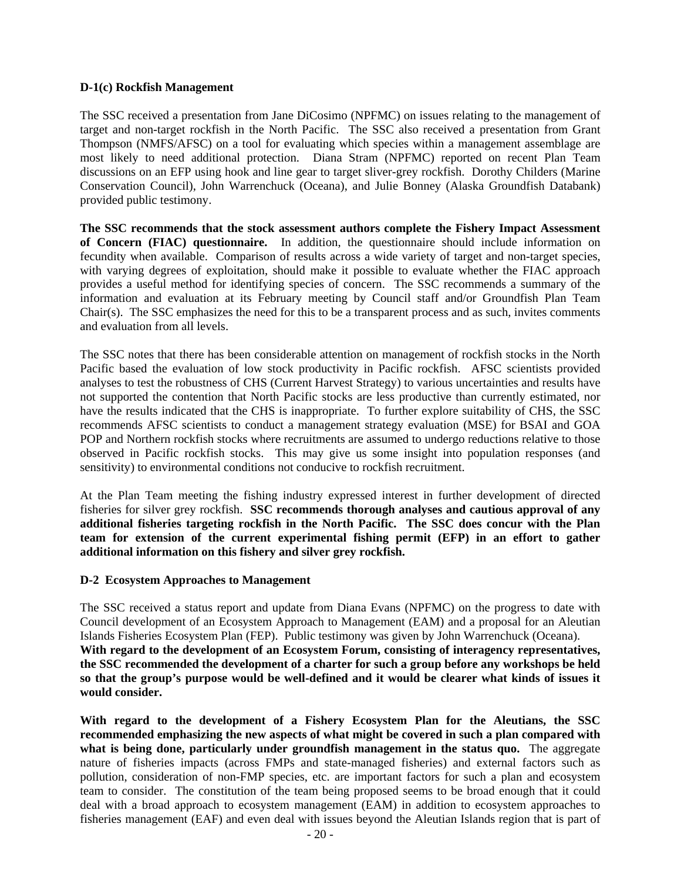#### **D-1(c) Rockfish Management**

The SSC received a presentation from Jane DiCosimo (NPFMC) on issues relating to the management of target and non-target rockfish in the North Pacific. The SSC also received a presentation from Grant Thompson (NMFS/AFSC) on a tool for evaluating which species within a management assemblage are most likely to need additional protection. Diana Stram (NPFMC) reported on recent Plan Team discussions on an EFP using hook and line gear to target sliver-grey rockfish. Dorothy Childers (Marine Conservation Council), John Warrenchuck (Oceana), and Julie Bonney (Alaska Groundfish Databank) provided public testimony.

**The SSC recommends that the stock assessment authors complete the Fishery Impact Assessment of Concern (FIAC) questionnaire.** In addition, the questionnaire should include information on fecundity when available. Comparison of results across a wide variety of target and non-target species, with varying degrees of exploitation, should make it possible to evaluate whether the FIAC approach provides a useful method for identifying species of concern. The SSC recommends a summary of the information and evaluation at its February meeting by Council staff and/or Groundfish Plan Team Chair(s). The SSC emphasizes the need for this to be a transparent process and as such, invites comments and evaluation from all levels.

The SSC notes that there has been considerable attention on management of rockfish stocks in the North Pacific based the evaluation of low stock productivity in Pacific rockfish. AFSC scientists provided analyses to test the robustness of CHS (Current Harvest Strategy) to various uncertainties and results have not supported the contention that North Pacific stocks are less productive than currently estimated, nor have the results indicated that the CHS is inappropriate. To further explore suitability of CHS, the SSC recommends AFSC scientists to conduct a management strategy evaluation (MSE) for BSAI and GOA POP and Northern rockfish stocks where recruitments are assumed to undergo reductions relative to those observed in Pacific rockfish stocks. This may give us some insight into population responses (and sensitivity) to environmental conditions not conducive to rockfish recruitment.

At the Plan Team meeting the fishing industry expressed interest in further development of directed fisheries for silver grey rockfish. **SSC recommends thorough analyses and cautious approval of any additional fisheries targeting rockfish in the North Pacific. The SSC does concur with the Plan team for extension of the current experimental fishing permit (EFP) in an effort to gather additional information on this fishery and silver grey rockfish.** 

#### **D-2 Ecosystem Approaches to Management**

The SSC received a status report and update from Diana Evans (NPFMC) on the progress to date with Council development of an Ecosystem Approach to Management (EAM) and a proposal for an Aleutian Islands Fisheries Ecosystem Plan (FEP). Public testimony was given by John Warrenchuck (Oceana). **With regard to the development of an Ecosystem Forum, consisting of interagency representatives, the SSC recommended the development of a charter for such a group before any workshops be held so that the group's purpose would be well-defined and it would be clearer what kinds of issues it would consider.** 

**With regard to the development of a Fishery Ecosystem Plan for the Aleutians, the SSC recommended emphasizing the new aspects of what might be covered in such a plan compared with**  what is being done, particularly under groundfish management in the status quo. The aggregate nature of fisheries impacts (across FMPs and state-managed fisheries) and external factors such as pollution, consideration of non-FMP species, etc. are important factors for such a plan and ecosystem team to consider. The constitution of the team being proposed seems to be broad enough that it could deal with a broad approach to ecosystem management (EAM) in addition to ecosystem approaches to fisheries management (EAF) and even deal with issues beyond the Aleutian Islands region that is part of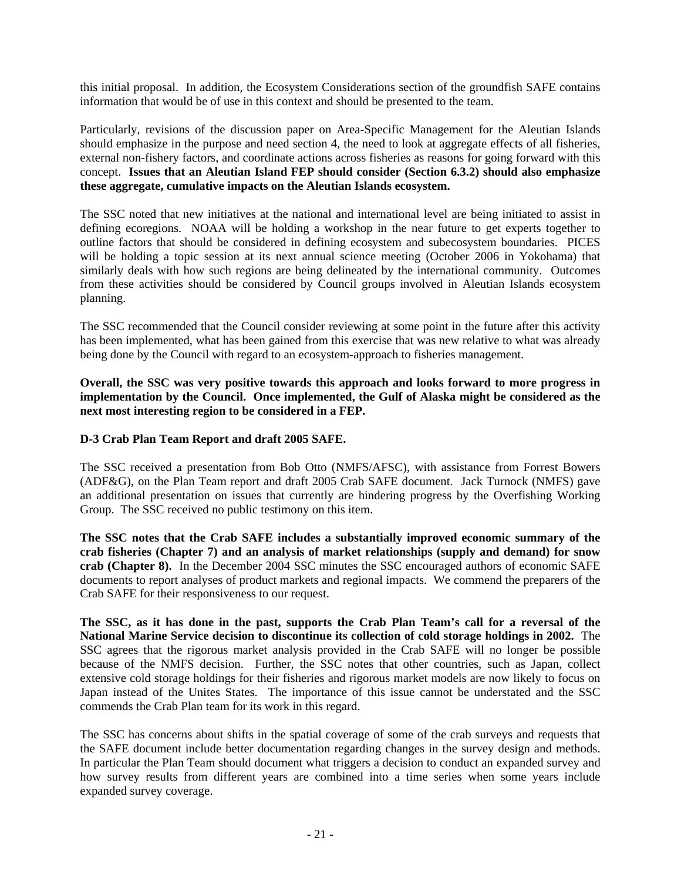this initial proposal. In addition, the Ecosystem Considerations section of the groundfish SAFE contains information that would be of use in this context and should be presented to the team.

Particularly, revisions of the discussion paper on Area-Specific Management for the Aleutian Islands should emphasize in the purpose and need section 4, the need to look at aggregate effects of all fisheries, external non-fishery factors, and coordinate actions across fisheries as reasons for going forward with this concept. **Issues that an Aleutian Island FEP should consider (Section 6.3.2) should also emphasize these aggregate, cumulative impacts on the Aleutian Islands ecosystem.** 

The SSC noted that new initiatives at the national and international level are being initiated to assist in defining ecoregions. NOAA will be holding a workshop in the near future to get experts together to outline factors that should be considered in defining ecosystem and subecosystem boundaries. PICES will be holding a topic session at its next annual science meeting (October 2006 in Yokohama) that similarly deals with how such regions are being delineated by the international community. Outcomes from these activities should be considered by Council groups involved in Aleutian Islands ecosystem planning.

The SSC recommended that the Council consider reviewing at some point in the future after this activity has been implemented, what has been gained from this exercise that was new relative to what was already being done by the Council with regard to an ecosystem-approach to fisheries management.

**Overall, the SSC was very positive towards this approach and looks forward to more progress in implementation by the Council. Once implemented, the Gulf of Alaska might be considered as the next most interesting region to be considered in a FEP.** 

# **D-3 Crab Plan Team Report and draft 2005 SAFE.**

The SSC received a presentation from Bob Otto (NMFS/AFSC), with assistance from Forrest Bowers (ADF&G), on the Plan Team report and draft 2005 Crab SAFE document. Jack Turnock (NMFS) gave an additional presentation on issues that currently are hindering progress by the Overfishing Working Group. The SSC received no public testimony on this item.

**The SSC notes that the Crab SAFE includes a substantially improved economic summary of the crab fisheries (Chapter 7) and an analysis of market relationships (supply and demand) for snow crab (Chapter 8).** In the December 2004 SSC minutes the SSC encouraged authors of economic SAFE documents to report analyses of product markets and regional impacts. We commend the preparers of the Crab SAFE for their responsiveness to our request.

**The SSC, as it has done in the past, supports the Crab Plan Team's call for a reversal of the National Marine Service decision to discontinue its collection of cold storage holdings in 2002.** The SSC agrees that the rigorous market analysis provided in the Crab SAFE will no longer be possible because of the NMFS decision. Further, the SSC notes that other countries, such as Japan, collect extensive cold storage holdings for their fisheries and rigorous market models are now likely to focus on Japan instead of the Unites States. The importance of this issue cannot be understated and the SSC commends the Crab Plan team for its work in this regard.

The SSC has concerns about shifts in the spatial coverage of some of the crab surveys and requests that the SAFE document include better documentation regarding changes in the survey design and methods. In particular the Plan Team should document what triggers a decision to conduct an expanded survey and how survey results from different years are combined into a time series when some years include expanded survey coverage.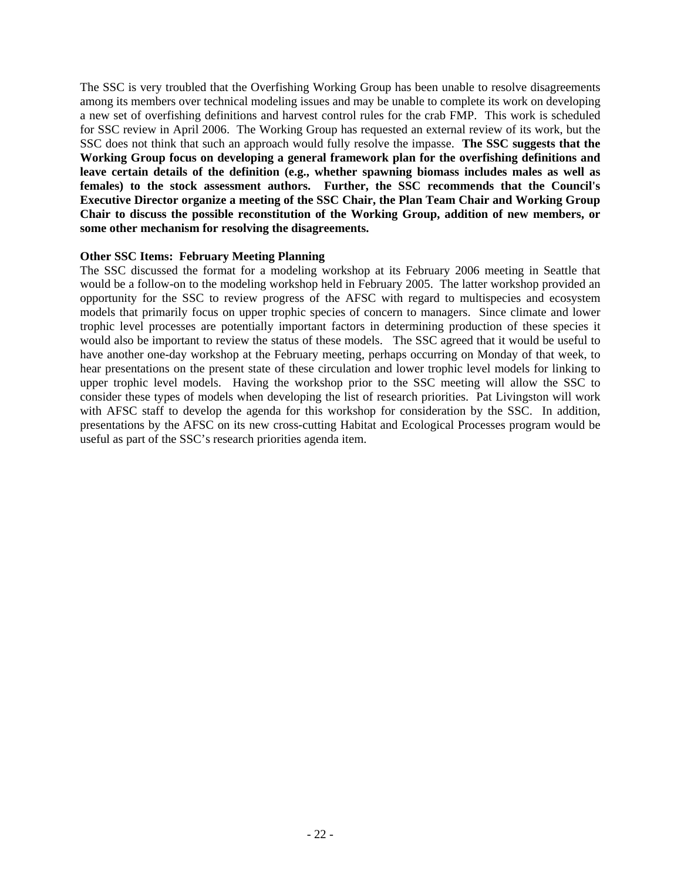The SSC is very troubled that the Overfishing Working Group has been unable to resolve disagreements among its members over technical modeling issues and may be unable to complete its work on developing a new set of overfishing definitions and harvest control rules for the crab FMP. This work is scheduled for SSC review in April 2006. The Working Group has requested an external review of its work, but the SSC does not think that such an approach would fully resolve the impasse. **The SSC suggests that the Working Group focus on developing a general framework plan for the overfishing definitions and leave certain details of the definition (e.g., whether spawning biomass includes males as well as females) to the stock assessment authors. Further, the SSC recommends that the Council's Executive Director organize a meeting of the SSC Chair, the Plan Team Chair and Working Group Chair to discuss the possible reconstitution of the Working Group, addition of new members, or some other mechanism for resolving the disagreements.** 

#### **Other SSC Items: February Meeting Planning**

The SSC discussed the format for a modeling workshop at its February 2006 meeting in Seattle that would be a follow-on to the modeling workshop held in February 2005. The latter workshop provided an opportunity for the SSC to review progress of the AFSC with regard to multispecies and ecosystem models that primarily focus on upper trophic species of concern to managers. Since climate and lower trophic level processes are potentially important factors in determining production of these species it would also be important to review the status of these models. The SSC agreed that it would be useful to have another one-day workshop at the February meeting, perhaps occurring on Monday of that week, to hear presentations on the present state of these circulation and lower trophic level models for linking to upper trophic level models. Having the workshop prior to the SSC meeting will allow the SSC to consider these types of models when developing the list of research priorities. Pat Livingston will work with AFSC staff to develop the agenda for this workshop for consideration by the SSC. In addition, presentations by the AFSC on its new cross-cutting Habitat and Ecological Processes program would be useful as part of the SSC's research priorities agenda item.